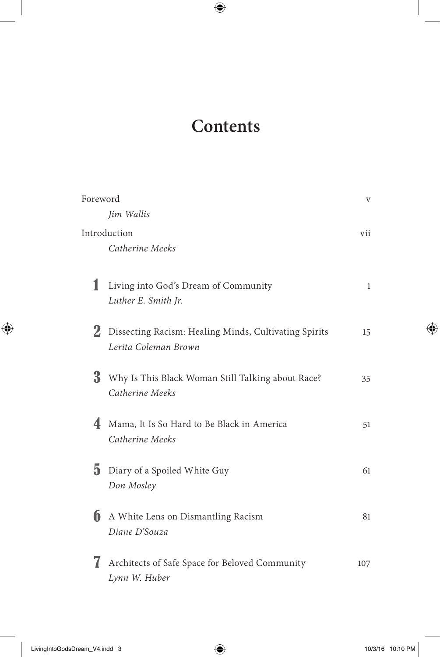## **Contents**

| Foreword    |                                                               | V            |
|-------------|---------------------------------------------------------------|--------------|
|             | Jim Wallis                                                    |              |
|             | Introduction                                                  | vii          |
|             | Catherine Meeks                                               |              |
|             |                                                               |              |
| 1           | Living into God's Dream of Community                          | $\mathbf{1}$ |
|             | Luther E. Smith Jr.                                           |              |
| $2^{\circ}$ | Dissecting Racism: Healing Minds, Cultivating Spirits         | 15           |
|             | Lerita Coleman Brown                                          |              |
|             |                                                               |              |
| 3           | Why Is This Black Woman Still Talking about Race?             | 35           |
|             | Catherine Meeks                                               |              |
| 4           |                                                               |              |
|             | Mama, It Is So Hard to Be Black in America<br>Catherine Meeks | 51           |
|             |                                                               |              |
| 5.          | Diary of a Spoiled White Guy                                  | 61           |
|             | Don Mosley                                                    |              |
|             |                                                               |              |
| 6           | A White Lens on Dismantling Racism<br>Diane D'Souza           | 81           |
|             |                                                               |              |
| 7           | Architects of Safe Space for Beloved Community                | 107          |
|             | Lynn W. Huber                                                 |              |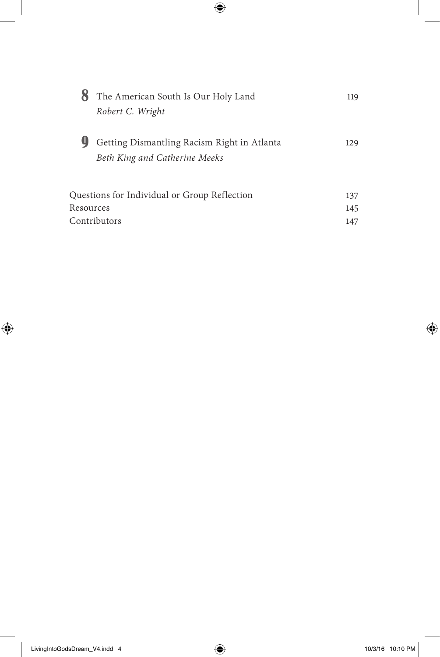|              | The American South Is Our Holy Land                                          | 119 |
|--------------|------------------------------------------------------------------------------|-----|
|              | Robert C. Wright                                                             |     |
| Y            | Getting Dismantling Racism Right in Atlanta<br>Beth King and Catherine Meeks | 129 |
|              | Questions for Individual or Group Reflection                                 | 137 |
| Resources    |                                                                              | 145 |
| Contributors |                                                                              | 147 |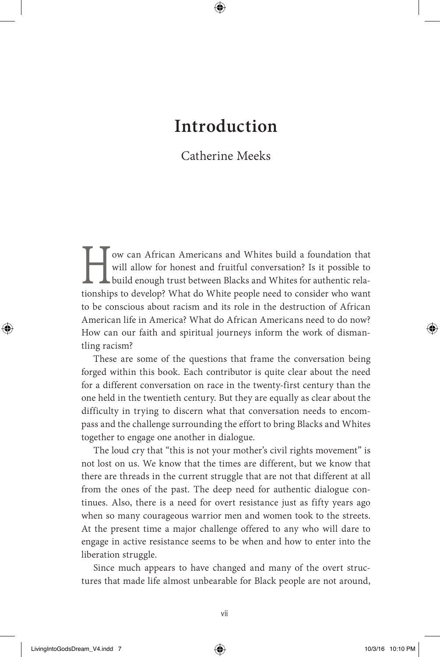## **Introduction**

## Catherine Meeks

ow can African Americans and Whites build a foundation that will allow for honest and fruitful conversation? Is it possible to build enough trust between Blacks and Whites for authentic relationships to develop? What do Wh will allow for honest and fruitful conversation? Is it possible to build enough trust between Blacks and Whites for authentic relationships to develop? What do White people need to consider who want to be conscious about racism and its role in the destruction of African American life in America? What do African Americans need to do now? How can our faith and spiritual journeys inform the work of dismantling racism?

These are some of the questions that frame the conversation being forged within this book. Each contributor is quite clear about the need for a different conversation on race in the twenty-first century than the one held in the twentieth century. But they are equally as clear about the difficulty in trying to discern what that conversation needs to encompass and the challenge surrounding the effort to bring Blacks and Whites together to engage one another in dialogue.

The loud cry that "this is not your mother's civil rights movement" is not lost on us. We know that the times are different, but we know that there are threads in the current struggle that are not that different at all from the ones of the past. The deep need for authentic dialogue continues. Also, there is a need for overt resistance just as fifty years ago when so many courageous warrior men and women took to the streets. At the present time a major challenge offered to any who will dare to engage in active resistance seems to be when and how to enter into the liberation struggle.

Since much appears to have changed and many of the overt structures that made life almost unbearable for Black people are not around,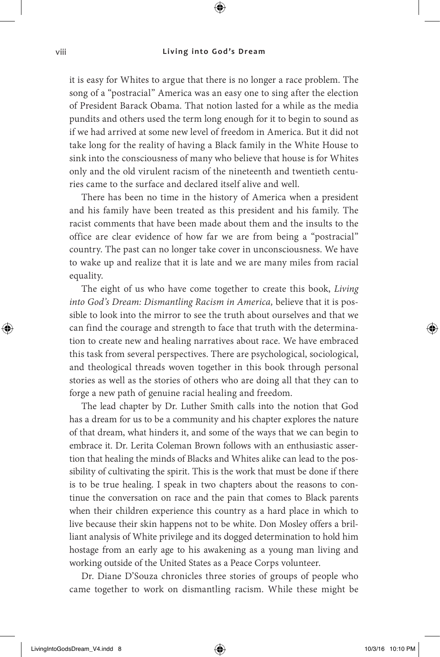it is easy for Whites to argue that there is no longer a race problem. The song of a "postracial" America was an easy one to sing after the election of President Barack Obama. That notion lasted for a while as the media pundits and others used the term long enough for it to begin to sound as if we had arrived at some new level of freedom in America. But it did not take long for the reality of having a Black family in the White House to sink into the consciousness of many who believe that house is for Whites only and the old virulent racism of the nineteenth and twentieth centuries came to the surface and declared itself alive and well.

There has been no time in the history of America when a president and his family have been treated as this president and his family. The racist comments that have been made about them and the insults to the office are clear evidence of how far we are from being a "postracial" country. The past can no longer take cover in unconsciousness. We have to wake up and realize that it is late and we are many miles from racial equality.

The eight of us who have come together to create this book, *Living into God's Dream: Dismantling Racism in America,* believe that it is possible to look into the mirror to see the truth about ourselves and that we can find the courage and strength to face that truth with the determination to create new and healing narratives about race. We have embraced this task from several perspectives. There are psychological, sociological, and theological threads woven together in this book through personal stories as well as the stories of others who are doing all that they can to forge a new path of genuine racial healing and freedom.

The lead chapter by Dr. Luther Smith calls into the notion that God has a dream for us to be a community and his chapter explores the nature of that dream, what hinders it, and some of the ways that we can begin to embrace it. Dr. Lerita Coleman Brown follows with an enthusiastic assertion that healing the minds of Blacks and Whites alike can lead to the possibility of cultivating the spirit. This is the work that must be done if there is to be true healing. I speak in two chapters about the reasons to continue the conversation on race and the pain that comes to Black parents when their children experience this country as a hard place in which to live because their skin happens not to be white. Don Mosley offers a brilliant analysis of White privilege and its dogged determination to hold him hostage from an early age to his awakening as a young man living and working outside of the United States as a Peace Corps volunteer.

Dr. Diane D'Souza chronicles three stories of groups of people who came together to work on dismantling racism. While these might be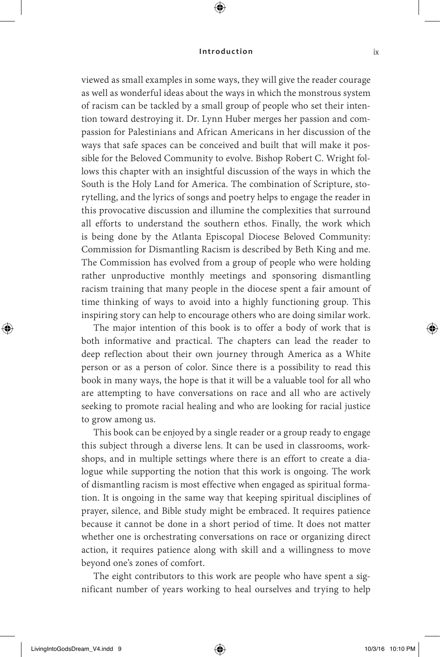viewed as small examples in some ways, they will give the reader courage as well as wonderful ideas about the ways in which the monstrous system of racism can be tackled by a small group of people who set their intention toward destroying it. Dr. Lynn Huber merges her passion and compassion for Palestinians and African Americans in her discussion of the ways that safe spaces can be conceived and built that will make it possible for the Beloved Community to evolve. Bishop Robert C. Wright follows this chapter with an insightful discussion of the ways in which the South is the Holy Land for America. The combination of Scripture, storytelling, and the lyrics of songs and poetry helps to engage the reader in this provocative discussion and illumine the complexities that surround all efforts to understand the southern ethos. Finally, the work which is being done by the Atlanta Episcopal Diocese Beloved Community: Commission for Dismantling Racism is described by Beth King and me. The Commission has evolved from a group of people who were holding rather unproductive monthly meetings and sponsoring dismantling racism training that many people in the diocese spent a fair amount of time thinking of ways to avoid into a highly functioning group. This inspiring story can help to encourage others who are doing similar work.

The major intention of this book is to offer a body of work that is both informative and practical. The chapters can lead the reader to deep reflection about their own journey through America as a White person or as a person of color. Since there is a possibility to read this book in many ways, the hope is that it will be a valuable tool for all who are attempting to have conversations on race and all who are actively seeking to promote racial healing and who are looking for racial justice to grow among us.

This book can be enjoyed by a single reader or a group ready to engage this subject through a diverse lens. It can be used in classrooms, workshops, and in multiple settings where there is an effort to create a dialogue while supporting the notion that this work is ongoing. The work of dismantling racism is most effective when engaged as spiritual formation. It is ongoing in the same way that keeping spiritual disciplines of prayer, silence, and Bible study might be embraced. It requires patience because it cannot be done in a short period of time. It does not matter whether one is orchestrating conversations on race or organizing direct action, it requires patience along with skill and a willingness to move beyond one's zones of comfort.

The eight contributors to this work are people who have spent a significant number of years working to heal ourselves and trying to help